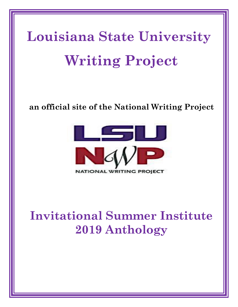# **Louisiana State University Writing Project**

## **an official site of the National Writing Project**



# **Invitational Summer Institute 2019 Anthology**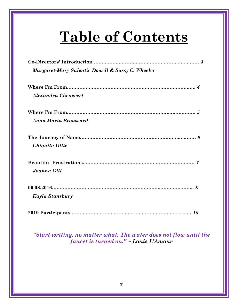# **Table of Contents**

| Margaret-Mary Sulentic Dowell & Sassy C. Wheeler |
|--------------------------------------------------|
|                                                  |
|                                                  |
| Alexandra Chenevert                              |
|                                                  |
|                                                  |
| Anna Maria Broussard                             |
|                                                  |
|                                                  |
| Chiquita Ollie                                   |
|                                                  |
| Joanna Gill                                      |
|                                                  |
|                                                  |
| Kayla Stansbury                                  |
|                                                  |
|                                                  |

*"Start writing, no matter what. The water does not flow until the faucet is turned on." ~ Louis L'Amour*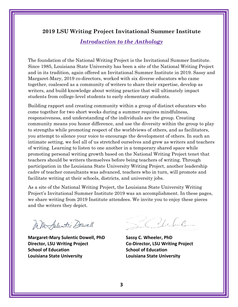#### **2019 LSU Writing Project Invitational Summer Institute**

*Introduction to the Anthology*

The foundation of the National Writing Project is the Invitational Summer Institute. Since 1985, Louisiana State University has been a site of the National Writing Project and in its tradition, again offered an Invitational Summer Institute in 2019. Sassy and Margaret-Mary, 2019 co-directors, worked with six diverse educators who came together, coalesced as a community of writers to share their expertise, develop as writers, and build knowledge about writing practice that will ultimately impact students from college-level students to early elementary students.

Building rapport and creating community within a group of distinct educators who come together for two short weeks during a summer requires mindfulness, responsiveness, and understanding of the individuals are the group. Creating community means you honor difference, and use the diversity within the group to play to strengths while promoting respect of the worldviews of others, and as facilitators, you attempt to silence your voice to encourage the development of others. In such an intimate setting, we feel all of us stretched ourselves and grew as writers and teachers of writing. Learning to listen to one another in a temporary shared space while promoting personal writing growth based on the National Writing Project tenet that teachers should be writers themselves before being teachers of writing. Through participation in the Louisiana State University Writing Project, another leadership cadre of teacher consultants was advanced, teachers who in turn, will promote and facilitate writing at their schools, districts, and university jobs.

As a site of the National Writing Project, the Louisiana State University Writing Project's Invitational Summer Institute 2019 was an accomplishment. In these pages, we share writing from 2019 Institute attendees. We invite you to enjoy these pieces and the writers they depict.

In Murfulentic Dowell

**Margaret-Mary Sulentic Dowell, PhD Sassy C. Wheeler, PhD Director, LSU Writing Project Co-Director, LSU Writing Project School of Education School of Education Louisiana State University Louisiana State University**

Ville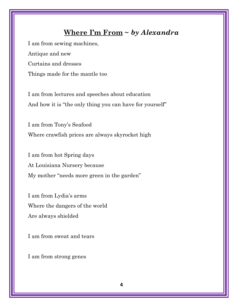#### **Where I'm From ~** *by Alexandra*

I am from sewing machines, Antique and new Curtains and dresses Things made for the mantle too

I am from lectures and speeches about education And how it is "the only thing you can have for yourself"

I am from Tony's Seafood Where crawfish prices are always skyrocket high

I am from hot Spring days At Louisiana Nursery because My mother "needs more green in the garden"

I am from Lydia's arms Where the dangers of the world Are always shielded

I am from sweat and tears

I am from strong genes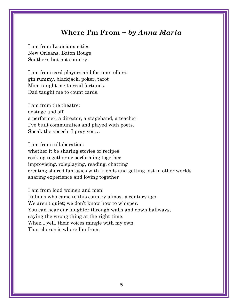#### **Where I'm From ~** *by Anna Maria*

I am from Louisiana cities: New Orleans, Baton Rouge Southern but not country

I am from card players and fortune tellers: gin rummy, blackjack, poker, tarot Mom taught me to read fortunes. Dad taught me to count cards.

I am from the theatre: onstage and off a performer, a director, a stagehand, a teacher I've built communities and played with poets. Speak the speech, I pray you…

I am from collaboration: whether it be sharing stories or recipes cooking together or performing together improvising, roleplaying, reading, chatting creating shared fantasies with friends and getting lost in other worlds sharing experience and loving together

I am from loud women and men: Italians who came to this country almost a century ago We aren't quiet; we don't know how to whisper. You can hear our laughter through walls and down hallways, saying the wrong thing at the right time. When I yell, their voices mingle with my own. That chorus is where I'm from.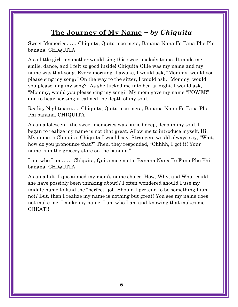### **The Journey of My Name ~** *by Chiquita*

Sweet Memories…… Chiquita, Quita moe meta, Banana Nana Fo Fana Phe Phi banana, CHIQUITA

As a little girl, my mother would sing this sweet melody to me. It made me smile, dance, and I felt so good inside! Chiquita Ollie was my name and my name was that song. Every morning I awake, I would ask, "Mommy, would you please sing my song?" On the way to the sitter, I would ask, "Mommy, would you please sing my song?" As she tucked me into bed at night, I would ask, "Mommy, would you please sing my song?" My mom gave my name "POWER" and to hear her sing it calmed the depth of my soul.

Reality Nightmare….. Chiquita, Quita moe meta, Banana Nana Fo Fana Phe Phi banana, CHIQUITA

As an adolescent, the sweet memories was buried deep, deep in my soul. I began to realize my name is not that great. Allow me to introduce myself, Hi. My name is Chiquita. Chiquita I would say. Strangers would always say, "Wait, how do you pronounce that?" Then, they responded, "Ohhhh, I got it! Your name is in the grocery store on the banana."

I am who I am…… Chiquita, Quita moe meta, Banana Nana Fo Fana Phe Phi banana, CHIQUITA

As an adult, I questioned my mom's name choice. How, Why, and What could she have possibly been thinking about!? I often wondered should I use my middle name to land the "perfect" job. Should I pretend to be something I am not? But, then I realize my name is nothing but great! You see my name does not make me, I make my name. I am who I am and knowing that makes me GREAT!!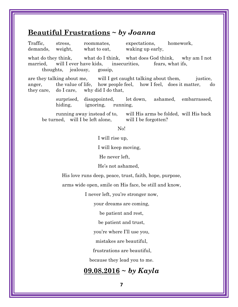#### **Beautiful Frustrations ~** *by Joanna*

Traffic, stress, roommates, expectations, homework, demands, weight, what to eat, waking up early,

what do they think, what do I think, what does God think, why am I not married, will I ever have kids, insecurities, fears, what ifs, thoughts, jealousy, gossip,

are they talking about me, will I get caught talking about them, justice, anger, the value of life, how people feel, how I feel, does it matter, do they care, do I care, why did I do that,

> surprised, disappointed, let down, ashamed, embarrassed, hiding, ignoring, running,

running away instead of to, will His arms be folded, will His back be turned, will I be left alone, will I be forgotten?

No!

I will rise up,

I will keep moving,

He never left,

He's not ashamed,

His love runs deep, peace, trust, faith, hope, purpose,

arms wide open, smile on His face, be still and know,

I never left, you're stronger now,

your dreams are coming,

be patient and rest,

be patient and trust,

you're where I'll use you,

mistakes are beautiful,

frustrations are beautiful,

because they lead you to me.

### **09.08.2016 ~** *by Kayla*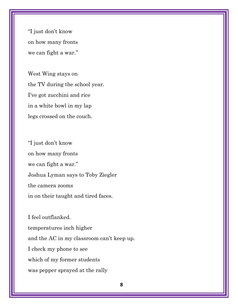"I just don't know on how many fronts we can fight a war."

West Wing stays on the TV during the school year. I've got zucchini and rice in a white bowl in my lap legs crossed on the couch.

"I just don't know on how many fronts we can fight a war." Joshua Lyman says to Toby Ziegler the camera zooms in on their taught and tired faces.

I feel outflanked. temperatures inch higher and the AC in my classroom can't keep up. I check my phone to see which of my former students was pepper sprayed at the rally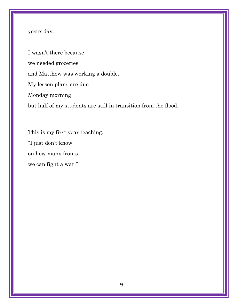#### yesterday.

I wasn't there because we needed groceries and Matthew was working a double. My lesson plans are due Monday morning but half of my students are still in transition from the flood.

This is my first year teaching. "I just don't know on how many fronts we can fight a war."